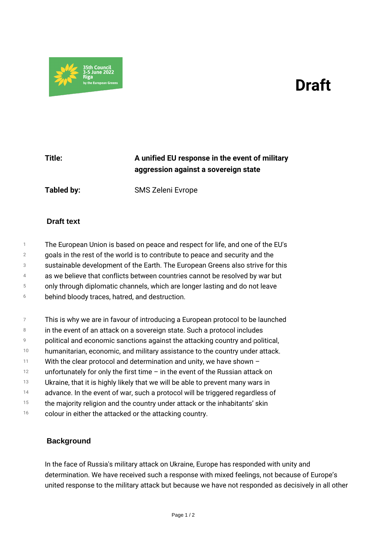## *Draft*



## *Title: A unified EU response in the event of military aggression against a sovereign state*

*Tabled by: SMS Zeleni Evrope*

## **Draft text**

- *1 The European Union is based on peace and respect for life, and one of the EU's*
- *2 goals in the rest of the world is to contribute to peace and security and the*
- *3 sustainable development of the Earth. The European Greens also strive for this*
- *4 as we believe that conflicts between countries cannot be resolved by war but*
- *5 only through diplomatic channels, which are longer lasting and do not leave*
- *6 behind bloody traces, hatred, and destruction.*
- *7 This is why we are in favour of introducing a European protocol to be launched*
- *8 in the event of an attack on a sovereign state. Such a protocol includes*
- *9 political and economic sanctions against the attacking country and political,*
- *10 humanitarian, economic, and military assistance to the country under attack.*
- *11 With the clear protocol and determination and unity, we have shown –*
- *12 unfortunately for only the first time – in the event of the Russian attack on*
- *13 Ukraine, that it is highly likely that we will be able to prevent many wars in*
- *14 advance. In the event of war, such a protocol will be triggered regardless of*
- *15 the majority religion and the country under attack or the inhabitants' skin*
- *16 colour in either the attacked or the attacking country.*

## **Background**

*In the face of Russia's military attack on Ukraine, Europe has responded with unity and determination. We have received such a response with mixed feelings, not because of Europe's united response to the military attack but because we have not responded as decisively in all other*